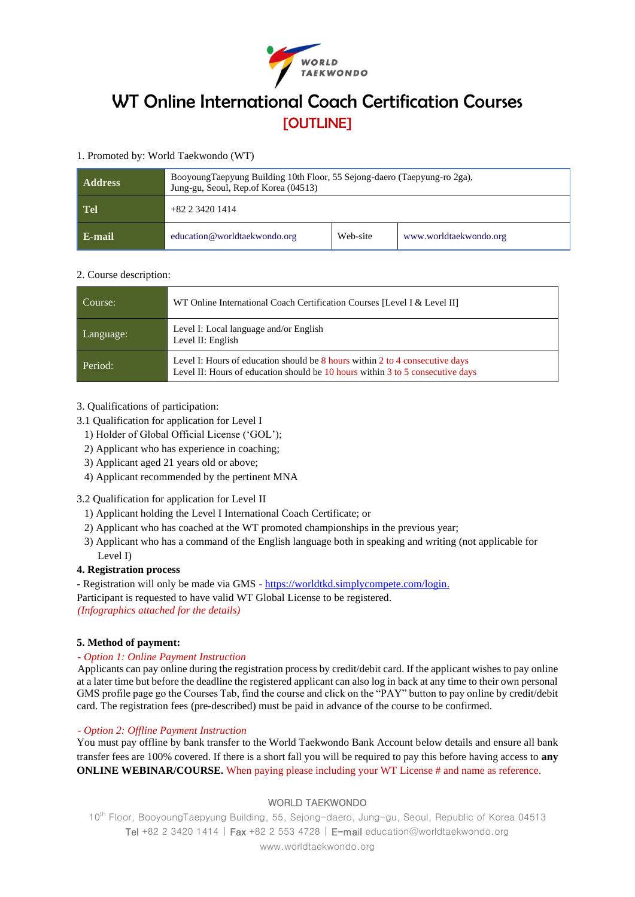

# WT Online International Coach Certification Courses **[OUTLINE]**

### 1. Promoted by: World Taekwondo (WT)

| <b>Address</b> | BooyoungTaepyung Building 10th Floor, 55 Sejong-daero (Taepyung-ro 2ga),<br>Jung-gu, Seoul, Rep.of Korea (04513) |          |                        |  |
|----------------|------------------------------------------------------------------------------------------------------------------|----------|------------------------|--|
| Tel            | $+82$ 2 3420 1414                                                                                                |          |                        |  |
| E-mail         | education@worldtaekwondo.org                                                                                     | Web-site | www.worldtaekwondo.org |  |

#### 2. Course description:

| Course:   | WT Online International Coach Certification Courses [Level I & Level II]                                                                                       |  |
|-----------|----------------------------------------------------------------------------------------------------------------------------------------------------------------|--|
| Language: | Level I: Local language and/or English<br>Level II: English                                                                                                    |  |
| Period:   | Level I: Hours of education should be 8 hours within 2 to 4 consecutive days<br>Level II: Hours of education should be 10 hours within 3 to 5 consecutive days |  |

#### 3. Qualifications of participation:

- 3.1 Qualification for application for Level I
	- 1) Holder of Global Official License ('GOL');
	- 2) Applicant who has experience in coaching;
	- 3) Applicant aged 21 years old or above;
	- 4) Applicant recommended by the pertinent MNA

# 3.2 Qualification for application for Level II

- 1) Applicant holding the Level I International Coach Certificate; or
- 2) Applicant who has coached at the WT promoted championships in the previous year;
- 3) Applicant who has a command of the English language both in speaking and writing (not applicable for Level I)

#### **4. Registration process**

- Registration will only be made via GMS - [https://worldtkd.simplycompete.com/login.](https://worldtkd.simplycompete.com/login)

Participant is requested to have valid WT Global License to be registered. *(Infographics attached for the details)*

# **5. Method of payment:**

#### *- Option 1: Online Payment Instruction*

Applicants can pay online during the registration process by credit/debit card. If the applicant wishes to pay online at a later time but before the deadline the registered applicant can also log in back at any time to their own personal GMS profile page go the Courses Tab, find the course and click on the "PAY" button to pay online by credit/debit card. The registration fees (pre-described) must be paid in advance of the course to be confirmed.

#### *- Option 2: Offline Payment Instruction*

You must pay offline by bank transfer to the World Taekwondo Bank Account below details and ensure all bank transfer fees are 100% covered. If there is a short fall you will be required to pay this before having access to **any ONLINE WEBINAR/COURSE.** When paying please including your WT License # and name as reference.

# WORLD TAEKWONDO

10th Floor, BooyoungTaepyung Building, 55, Sejong-daero, Jung-gu, Seoul, Republic of Korea 04513 Tel +82 2 3420 1414 | Fax +82 2 553 4728 | E-mail education@worldtaekwondo.org www.worldtaekwondo.org